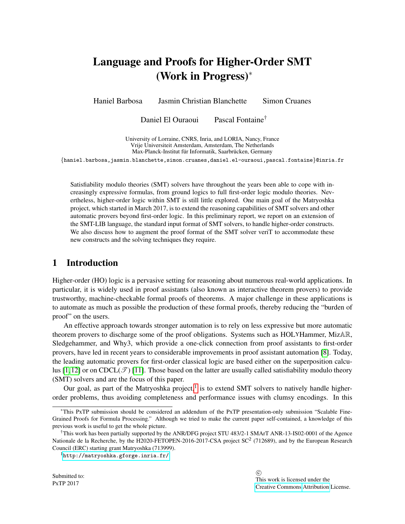# Language and Proofs for Higher-Order SMT (Work in Progress)<sup>∗</sup>

Haniel Barbosa Jasmin Christian Blanchette Simon Cruanes

Daniel El Ouraoui Pascal Fontaine<sup>†</sup>

University of Lorraine, CNRS, Inria, and LORIA, Nancy, France Vrije Universiteit Amsterdam, Amsterdam, The Netherlands Max-Planck-Institut für Informatik, Saarbrücken, Germany

{haniel.barbosa,jasmin.blanchette,simon.cruanes,daniel.el-ouraoui,pascal.fontaine}@inria.fr

Satisfiability modulo theories (SMT) solvers have throughout the years been able to cope with increasingly expressive formulas, from ground logics to full first-order logic modulo theories. Nevertheless, higher-order logic within SMT is still little explored. One main goal of the Matryoshka project, which started in March 2017, is to extend the reasoning capabilities of SMT solvers and other automatic provers beyond first-order logic. In this preliminary report, we report on an extension of the SMT-LIB language, the standard input format of SMT solvers, to handle higher-order constructs. We also discuss how to augment the proof format of the SMT solver veriT to accommodate these new constructs and the solving techniques they require.

## 1 Introduction

Higher-order (HO) logic is a pervasive setting for reasoning about numerous real-world applications. In particular, it is widely used in proof assistants (also known as interactive theorem provers) to provide trustworthy, machine-checkable formal proofs of theorems. A major challenge in these applications is to automate as much as possible the production of these formal proofs, thereby reducing the "burden of proof" on the users.

An effective approach towards stronger automation is to rely on less expressive but more automatic theorem provers to discharge some of the proof obligations. Systems such as HOLYHammer, MizAR, Sledgehammer, and Why3, which provide a one-click connection from proof assistants to first-order provers, have led in recent years to considerable improvements in proof assistant automation [\[8\]](#page-6-0). Today, the leading automatic provers for first-order classical logic are based either on the superposition calcu-lus [\[1,](#page-6-1)[12\]](#page-7-0) or on  $CDCL(\mathcal{T})$  [\[11\]](#page-7-1). Those based on the latter are usually called satisfiability modulo theory (SMT) solvers and are the focus of this paper.

Our goal, as part of the Matryoshka project, $<sup>1</sup>$  $<sup>1</sup>$  $<sup>1</sup>$  is to extend SMT solvers to natively handle higher-</sup> order problems, thus avoiding completeness and performance issues with clumsy encodings. In this

Submitted to: PxTP 2017

<sup>∗</sup>This PxTP submission should be considered an addendum of the PxTP presentation-only submission "Scalable Fine-Grained Proofs for Formula Processing." Although we tried to make the current paper self-contained, a knowledge of this previous work is useful to get the whole picture.

<sup>†</sup>This work has been partially supported by the ANR/DFG project STU 483/2-1 SMArT ANR-13-IS02-0001 of the Agence Nationale de la Recherche, by the H2020-FETOPEN-2016-2017-CSA project SC<sup>2</sup> (712689), and by the European Research Council (ERC) starting grant Matryoshka (713999).

<span id="page-0-0"></span><sup>1</sup><http://matryoshka.gforge.inria.fr/>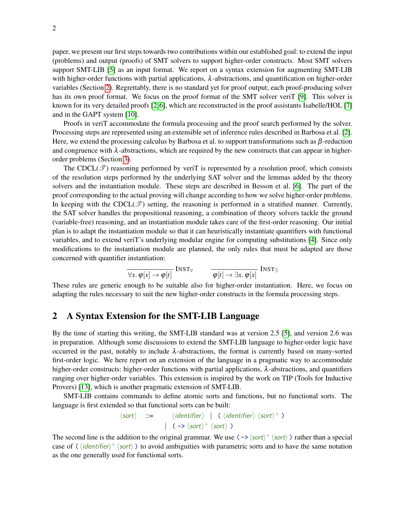paper, we present our first steps towards two contributions within our established goal: to extend the input (problems) and output (proofs) of SMT solvers to support higher-order constructs. Most SMT solvers support SMT-LIB [\[5\]](#page-6-2) as an input format. We report on a syntax extension for augmenting SMT-LIB with higher-order functions with partial applications,  $\lambda$ -abstractions, and quantification on higher-order variables (Section [2\)](#page-1-0). Regrettably, there is no standard yet for proof output; each proof-producing solver has its own proof format. We focus on the proof format of the SMT solver verit [\[9\]](#page-7-2). This solver is known for its very detailed proofs [\[2,](#page-6-3)[6\]](#page-6-4), which are reconstructed in the proof assistants Isabelle/HOL [\[7\]](#page-6-5) and in the GAPT system [\[10\]](#page-7-3).

Proofs in veriT accommodate the formula processing and the proof search performed by the solver. Processing steps are represented using an extensible set of inference rules described in Barbosa et al. [\[2\]](#page-6-3). Here, we extend the processing calculus by Barbosa et al. to support transformations such as  $\beta$ -reduction and congruence with  $\lambda$ -abstractions, which are required by the new constructs that can appear in higherorder problems (Section [3\)](#page-3-0).

The CDCL( $\mathcal{T}$ ) reasoning performed by veriT is represented by a resolution proof, which consists of the resolution steps performed by the underlying SAT solver and the lemmas added by the theory solvers and the instantiation module. These steps are described in Besson et al. [\[6\]](#page-6-4). The part of the proof corresponding to the actual proving will change according to how we solve higher-order problems. In keeping with the CDCL( $\mathcal{T}$ ) setting, the reasoning is performed in a stratified manner. Currently, the SAT solver handles the propositional reasoning, a combination of theory solvers tackle the ground (variable-free) reasoning, and an instantiation module takes care of the first-order reasoning. Our initial plan is to adapt the instantiation module so that it can heuristically instantiate quantifiers with functional variables, and to extend veriT's underlying modular engine for computing substitutions [\[4\]](#page-6-6). Since only modifications to the instantiation module are planned, the only rules that must be adapted are those concerned with quantifier instantiation:

$$
\frac{\partial}{\partial x \cdot \varphi[x] \to \varphi[t]} \text{INST}_{\forall} \qquad \frac{\partial}{\partial [t] \to \exists x. \varphi[x]} \text{INST}_{\exists}
$$

These rules are generic enough to be suitable also for higher-order instantiation. Here, we focus on adapting the rules necessary to suit the new higher-order constructs in the formula processing steps.

## <span id="page-1-0"></span>2 A Syntax Extension for the SMT-LIB Language

By the time of starting this writing, the SMT-LIB standard was at version 2.5 [\[5\]](#page-6-2), and version 2.6 was in preparation. Although some discussions to extend the SMT-LIB language to higher-order logic have occurred in the past, notably to include  $\lambda$ -abstractions, the format is currently based on many-sorted first-order logic. We here report on an extension of the language in a pragmatic way to accommodate higher-order constructs: higher-order functions with partial applications,  $\lambda$ -abstractions, and quantifiers ranging over higher-order variables. This extension is inspired by the work on TIP (Tools for Inductive Provers) [\[13\]](#page-7-4), which is another pragmatic extension of SMT-LIB.

SMT-LIB contains commands to define atomic sorts and functions, but no functional sorts. The language is first extended so that functional sorts can be built:

$$
\langle sort \rangle ::= \langle identifier \rangle | (\langle identifier \rangle \langle sort \rangle^+)
$$
  

$$
| (-> \langle sort \rangle^+ \langle sort \rangle )
$$

The second line is the addition to the original grammar. We use  $(\rightarrow \sqrt{sort} \rangle^+ \langle sort \rangle$ ) rather than a special case of ( $\langle$ *identifier*)<sup>+</sup>  $\langle$ *sort* $\rangle$ ) to avoid ambiguities with parametric sorts and to have the same notation as the one generally used for functional sorts.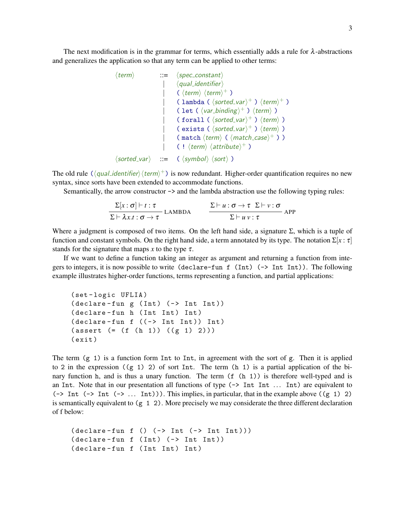The next modification is in the grammar for terms, which essentially adds a rule for  $\lambda$ -abstractions and generalizes the application so that any term can be applied to other terms:

```
\langle term \rangle ::= \langle spec\_constant \rangle\langlequal_identifier\rangle| \langle \text{term} \rangle \langle \text{term} \rangle +| ( lambda ( \langle sorted\_var \rangle^+ ) \langle term \rangle^+ )
                             | ( let ( \langle var\_binding \rangle^+ ) \langle term \rangle )
                             (forall (\langle sorted\_var \rangle^+) \langle term \rangle)
                             | (exists (\langle sorted\_var \rangle^+) \langle term \rangle)
                             |\qquad (match \langle term \rangle ( \langle match\_case \rangle^+ ) )
                             |\hspace{.6cm} ( |\textit{term} \rangle \langle \textit{attribute} \rangle^+ )\langle sorted_{var} \rangle ::= (\langle symbol \rangle \langle sort \rangle )
```
The old rule  $(\langle qual\_identifier \rangle \langle term \rangle^+)$  is now redundant. Higher-order quantification requires no new syntax, since sorts have been extended to accommodate functions.

Semantically, the arrow constructor  $\rightarrow$  and the lambda abstraction use the following typing rules:

$$
\frac{\Sigma[x:\sigma] \vdash t:\tau}{\Sigma \vdash \lambda x.t:\sigma \to \tau} \text{LAMBDA} \qquad \frac{\Sigma \vdash u:\sigma \to \tau \Sigma \vdash v:\sigma}{\Sigma \vdash u \vee : \tau} \text{APP}
$$

Where a judgment is composed of two items. On the left hand side, a signature  $\Sigma$ , which is a tuple of function and constant symbols. On the right hand side, a term annotated by its type. The notation  $\Sigma[x : \tau]$ stands for the signature that maps  $x$  to the type  $\tau$ .

If we want to define a function taking an integer as argument and returning a function from integers to integers, it is now possible to write (declare-fun f (Int)  $(\rightarrow$  Int Int)). The following example illustrates higher-order functions, terms representing a function, and partial applications:

```
( set - logic UFLIA )
(declare-fun g (Int) <math>(\rightarrow Int Int))(declare-fun h (Int Int) Int)
(declare-fun f ((-> Int Int)) Int)(\text{assert } (= (f (h 1)) ( (g 1) 2)))( exit )
```
The term  $(g \t1)$  is a function form Int to Int, in agreement with the sort of g. Then it is applied to 2 in the expression  $((g 1) 2)$  of sort Int. The term  $(h 1)$  is a partial application of the binary function h, and is thus a unary function. The term  $(f(h 1))$  is therefore well-typed and is an Int. Note that in our presentation all functions of type (-> Int Int ... Int) are equivalent to ( $\rightarrow$  Int ( $\rightarrow$  Int ( $\rightarrow$  ... Int))). This implies, in particular, that in the example above ((g 1) 2) is semantically equivalent to (g 1 2). More precisely we may considerate the three different declaration of f below:

```
(detare-fun f() (-> Int (-> Int Int)))(detare-fun f (Int) (-) Int Int)(declare-fun f (Int Int) Int)
```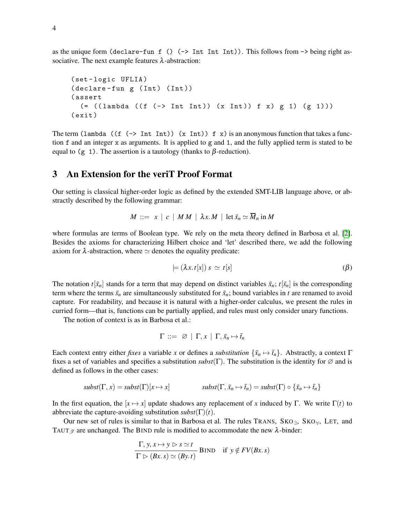as the unique form (declare-fun f ()  $(\rightarrow$  Int Int Int)). This follows from  $\rightarrow$  being right associative. The next example features  $\lambda$ -abstraction:

```
( set - logic UFLIA )
(declare-fun g (Int) (Int))
( assert
  ( = ((lambda ((f (-) Int Int)) (x Int)) f x) g 1) (g 1)))( exit )
```
The term (lambda ((f (-> Int Int)) (x Int)) f x) is an anonymous function that takes a function f and an integer x as arguments. It is applied to g and 1, and the fully applied term is stated to be equal to (g 1). The assertion is a tautology (thanks to  $\beta$ -reduction).

#### <span id="page-3-0"></span>3 An Extension for the veriT Proof Format

Our setting is classical higher-order logic as defined by the extended SMT-LIB language above, or abstractly described by the following grammar:

$$
M \ ::= \ x \ | \ c \ | \ MM \ | \ \lambda x.M \ | \ \mathrm{let} \ \bar{x}_n \simeq \overline{M}_n \ \mathrm{in} \ M
$$

where formulas are terms of Boolean type. We rely on the meta theory defined in Barbosa et al. [\[2\]](#page-6-3). Besides the axioms for characterizing Hilbert choice and 'let' described there, we add the following axiom for  $\lambda$ -abstraction, where  $\simeq$  denotes the equality predicate:

$$
\models (\lambda x. t[x]) s \simeq t[s] \tag{β}
$$

The notation  $t[\bar{x}_n]$  stands for a term that may depend on distinct variables  $\bar{x}_n$ ;  $t[\bar{s}_n]$  is the corresponding term where the terms  $\bar{s}_n$  are simultaneously substituted for  $\bar{x}_n$ ; bound variables in *t* are renamed to avoid capture. For readability, and because it is natural with a higher-order calculus, we present the rules in curried form—that is, functions can be partially applied, and rules must only consider unary functions.

The notion of context is as in Barbosa et al.:

$$
\Gamma \ ::= \ \varnothing \ | \ \Gamma, x \ | \ \Gamma, \bar{x}_n \mapsto \bar{t}_n
$$

Each context entry either *fixes* a variable *x* or defines a *substitution*  $\{\bar{x}_n \mapsto \bar{t}_n\}$ . Abstractly, a context Γ fixes a set of variables and specifies a substitution  $\mathit{subst}(\Gamma)$ . The substitution is the identity for  $\varnothing$  and is defined as follows in the other cases:

$$
subst(\Gamma, x) = subst(\Gamma)[x \mapsto x] \qquad \qquad subst(\Gamma, \bar{x}_n \mapsto \bar{t}_n) = subst(\Gamma) \circ {\bar{x}_n \mapsto \bar{t}_n}
$$

In the first equation, the  $[x \mapsto x]$  update shadows any replacement of *x* induced by Γ. We write Γ(*t*) to abbreviate the capture-avoiding substitution  $\text{subst}(\Gamma)(t)$ .

Our new set of rules is similar to that in Barbosa et al. The rules TRANS,  $SKO_{\exists}$ ,  $SKO_{\forall}$ , LET, and TAUT  $\mathcal{F}$  are unchanged. The BIND rule is modified to accommodate the new  $\lambda$ -binder:

$$
\frac{\Gamma, y, x \mapsto y \triangleright s \simeq t}{\Gamma \triangleright (Bx. s) \simeq (By. t)} \text{ BIND} \text{ if } y \notin FV(Bx. s)
$$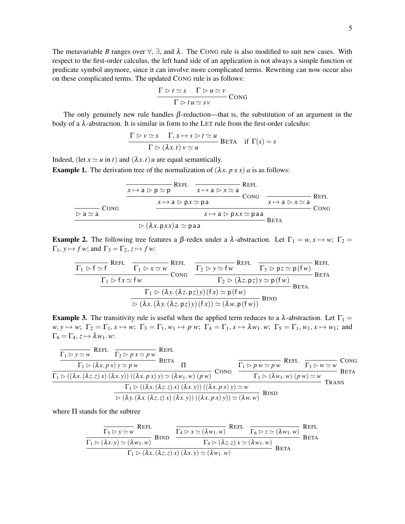The metavariable *B* ranges over  $\forall$ ,  $\exists$ , and  $\lambda$ . The CONG rule is also modified to suit new cases. With respect to the first-order calculus, the left hand side of an application is not always a simple function or predicate symbol anymore, since it can involve more complicated terms. Rewriting can now occur also on these complicated terms. The updated CONG rule is as follows:

$$
\frac{\Gamma \triangleright t \simeq s \quad \Gamma \triangleright u \simeq v}{\Gamma \triangleright tu \simeq sv} \text{Cong}
$$

The only genuinely new rule handles  $\beta$ -reduction—that is, the substitution of an argument in the body of a  $\lambda$ -abstraction. It is similar in form to the LET rule from the first-order calculus:

$$
\frac{\Gamma \rhd v \simeq s \quad \Gamma, x \mapsto s \rhd t \simeq u}{\Gamma \rhd (\lambda x. t) v \simeq u} \text{BETA} \quad \text{if } \Gamma(s) = s
$$

Indeed, (let  $x \simeq u$  in *t*) and  $(\lambda x. t)u$  are equal semantically.

**Example 1.** The derivation tree of the normalization of  $(\lambda x. p x x) a$  is as follows:

| $x \mapsto a \triangleright p \simeq p$        | $\text{REFL}$                             | $\text{REFL}$ |                                          |               |
|------------------------------------------------|-------------------------------------------|---------------|------------------------------------------|---------------|
| $x \mapsto a \triangleright p \simeq p$        | $x \mapsto a \triangleright x \simeq a$   | $\text{CONG}$ | $x \mapsto a \triangleright x \simeq a$  | $\text{REFL}$ |
| $\triangleright a \simeq a$                    | $x \mapsto a \triangleright px \simeq pa$ | $\text{CONG}$ | $x \mapsto a \triangleright px \simeq a$ | $\text{CONG}$ |
| $\triangleright (\lambda x. pxx) a \simeq paa$ | $\text{BERTA}$                            |               |                                          |               |

**Example 2.** The following tree features a β-redex under a λ-abstraction. Let  $\Gamma_1 = w, x \mapsto w$ ;  $\Gamma_2 =$  $\Gamma_1$ ,  $y \mapsto f w$ ; and  $\Gamma_3 = \Gamma_2$ ,  $z \mapsto f w$ :

$$
\frac{\Gamma_1 \triangleright f \simeq f}{\Gamma_1 \triangleright f \cdot x \cdot f \cdot w} \xrightarrow{\Gamma_1 \triangleright x \simeq w} \frac{\text{REFL}}{\text{Cong}} \frac{\frac{\Gamma_2 \triangleright y \simeq f w}{\Gamma_2 \triangleright y \simeq f w} \xrightarrow{\text{REFL}} \frac{\Gamma_3 \triangleright pz \simeq p(fw)}{\text{BERTA}}}{\frac{\Gamma_1 \triangleright (\lambda y. (\lambda z. pz)y)(fx) \simeq p(fw)}{\triangleright (\lambda x. (\lambda y. (\lambda z. pz)y)(fx)) \simeq (\lambda w. p(fw))} \text{Berg}} \text{BETA}
$$

**Example 3.** The transitivity rule is useful when the applied term reduces to a  $\lambda$ -abstraction. Let  $\Gamma_1$  =  $w, y \mapsto w$ ;  $\Gamma_2 = \Gamma_1, x \mapsto w$ ;  $\Gamma_3 = \Gamma_1, w_1 \mapsto p w$ ;  $\Gamma_4 = \Gamma_1, x \mapsto \lambda w_1$ . *w*;  $\Gamma_5 = \Gamma_1, w_1, x \mapsto w_1$ ; and  $\Gamma_6 = \Gamma_4, z \mapsto \lambda w_1 w$ :

**TE1** 
$$
\frac{\Gamma_1 \rhd y \simeq w \quad \text{REFL}}{\Gamma_1 \rhd (\lambda x. p x) y \simeq p w} \quad \text{BETA}
$$
\n
$$
\frac{\Gamma_1 \rhd (\lambda x. p x) y \simeq p w}{\Gamma_1 \rhd ((\lambda x. (\lambda z. z) x) (\lambda x. y)) ((\lambda x. p x) y) \simeq (\lambda w_1. w) (p w)} \quad \text{Cong} \quad \frac{\Gamma_1 \rhd p w \simeq p w}{\Gamma_1 \rhd (\lambda w_1. w) (p w) \simeq w} \quad \text{BETA}
$$
\n
$$
\frac{\Gamma_1 \rhd ((\lambda x. (\lambda z. z) x) (\lambda x. y) \simeq (\lambda w_1. w) (p w) \simeq w}{\rhd (\lambda y. (\lambda x. (\lambda z. z) x) (\lambda x. y)) ((\lambda x. p x) y) \simeq w} \quad \text{TRANS}
$$
\n
$$
\frac{\Gamma_1 \rhd (\lambda x. (\lambda z. z) x) (\lambda x. y) ((\lambda x. p x) y) \simeq w}{\rhd (\lambda y. (\lambda x. (\lambda z. z) x) (\lambda x. y)) ((\lambda x. p x) y) \simeq (\lambda w. w)} \quad \text{BIND}
$$

where Π stands for the subtree

$$
\frac{\overline{\Gamma_5 \rhd y \simeq w} \text{ REFL}}{\Gamma_1 \rhd (\lambda x. y) \simeq (\lambda w_1. w)} \text{ BIND} \quad \frac{\overline{\Gamma_4 \rhd x \simeq (\lambda w_1. w)} \text{ REFL}}{\Gamma_4 \rhd (\lambda z. z) \, x \simeq (\lambda w_1. w)} \text{ REFL} \quad \frac{\Gamma_6 \rhd z \simeq (\lambda w_1. w)}{\text{BETA}} \text{ BETA}
$$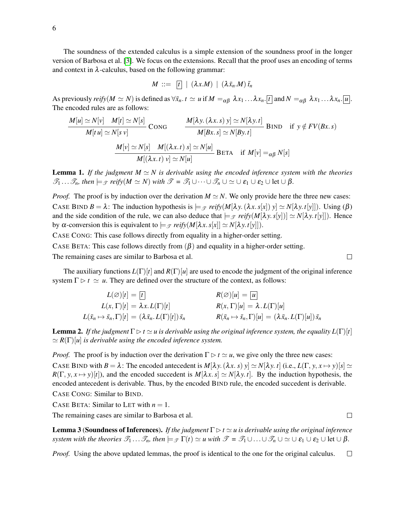The soundness of the extended calculus is a simple extension of the soundness proof in the longer version of Barbosa et al. [\[3\]](#page-6-7). We focus on the extensions. Recall that the proof uses an encoding of terms and context in  $\lambda$ -calculus, based on the following grammar:

$$
M \ ::= \ \boxed{t} \ | \ (\lambda x.M) \ | \ (\lambda \bar{x}_n.M) \bar{t}_n
$$

As previously *reify*( $M \simeq N$ ) is defined as  $\forall \bar{x}_n \cdot t \simeq u$  if  $M =_{\alpha\beta} \lambda x_1 \dots \lambda x_n$ .  $\lbrack t \rbrack$  and  $N =_{\alpha\beta} \lambda x_1 \dots \lambda x_n$ .  $\lbrack u \rbrack$ . The encoded rules are as follows:

$$
\frac{M[u] \simeq N[v]}{M[tu] \simeq N[s]} \text{CONG} \qquad \frac{M[\lambda y. (\lambda x. s) y] \simeq N[\lambda y. t]}{M[Bx. s] \simeq N[By. t]} \text{BIND} \quad \text{if } y \notin FV(Bx. s)
$$
\n
$$
\frac{M[v] \simeq N[s]}{M[v] \simeq N[s]} \qquad \frac{M[(\lambda x. t) s] \simeq N[u]}{M[(\lambda x. t) v] \simeq N[u]} \text{BETA} \quad \text{if } M[v] =_{\alpha\beta} N[s]
$$

**Lemma 1.** If the judgment  $M \simeq N$  is derivable using the encoded inference system with the theories  $\mathcal{T}_1 \ldots \mathcal{T}_n$ *, then*  $\models \mathcal{T}$  *reify*( $M \simeq N$ ) *with*  $\mathcal{T} = \mathcal{T}_1 \cup \cdots \cup \mathcal{T}_n \cup \simeq \cup \varepsilon_1 \cup \varepsilon_2 \cup \text{let } \cup \beta$ *.* 

*Proof.* The proof is by induction over the derivation  $M \simeq N$ . We only provide here the three new cases: CASE BIND  $B = \lambda$ : The induction hypothesis is  $\models_{\mathcal{F}} relfy(M[\lambda y.(\lambda x.s[x]) y] \simeq N[\lambda y. t[y]])$ . Using ( $\beta$ ) and the side condition of the rule, we can also deduce that  $\models \mathcal{F}$  *reify*( $M[\lambda y. s[y]) \geq N[\lambda y. t[y]]$ ). Hence by α-conversion this is equivalent to  $\models$  *γ reify*( $M[λx.s[x]] \simeq N[λy.t[y]]$ ).

CASE CONG: This case follows directly from equality in a higher-order setting.

CASE BETA: This case follows directly from  $(\beta)$  and equality in a higher-order setting.

The remaining cases are similar to Barbosa et al.

The auxiliary functions  $L(\Gamma)[t]$  and  $R(\Gamma)[u]$  are used to encode the judgment of the original inference system  $\Gamma \triangleright t \simeq u$ . They are defined over the structure of the context, as follows:

$$
L(\varnothing)[t] = \boxed{t} \qquad R(\varnothing)[u] = \boxed{u}
$$
  
\n
$$
L(x, \Gamma)[t] = \lambda x. L(\Gamma)[t] \qquad R(x, \Gamma)[u] = \lambda. L(\Gamma)[u]
$$
  
\n
$$
L(\bar{x}_n \mapsto \bar{s}_n, \Gamma)[t] = (\lambda \bar{x}_n. L(\Gamma)[t]) \bar{s}_n \qquad R(\bar{x}_n \mapsto \bar{s}_n, \Gamma)[u] = (\lambda \bar{x}_n. L(\Gamma)[u]) \bar{s}_n
$$

**Lemma 2.** If the judgment  $\Gamma \triangleright t \simeq u$  is derivable using the original inference system, the equality  $L(\Gamma)[t]$  $\simeq$   $R(\Gamma)[u]$  *is derivable using the encoded inference system.* 

*Proof.* The proof is by induction over the derivation  $\Gamma \triangleright t \simeq u$ , we give only the three new cases: CASE BIND with  $B = \lambda$ : The encoded antecedent is  $M[\lambda y.(\lambda x. s) y] \simeq N[\lambda y. t]$  (i.e.,  $L(\Gamma, y, x \mapsto y)[s] \simeq$  $R(\Gamma, y, x \mapsto y)[t]$ ), and the encoded succedent is  $M[\lambda x, s] \simeq N[\lambda y, t]$ . By the induction hypothesis, the encoded antecedent is derivable. Thus, by the encoded BIND rule, the encoded succedent is derivable.

CASE CONG: Similar to BIND.

CASE BETA: Similar to LET with  $n = 1$ .

The remaining cases are similar to Barbosa et al.

**Lemma 3 (Soundness of Inferences).** *If the judgment*  $\Gamma \triangleright t \simeq u$  *is derivable using the original inference system with the theories*  $\mathcal{T}_1 \ldots \mathcal{T}_n$ *, then*  $\models_{\mathcal{T}} \Gamma(t) \simeq u$  *with*  $\mathcal{T} = \mathcal{T}_1 \cup \ldots \cup \mathcal{T}_n \cup \simeq \cup \varepsilon_1 \cup \varepsilon_2 \cup \text{let} \cup \beta$ *.* 

*Proof.* Using the above updated lemmas, the proof is identical to the one for the original calculus.  $\Box$ 

 $\Box$ 

 $\Box$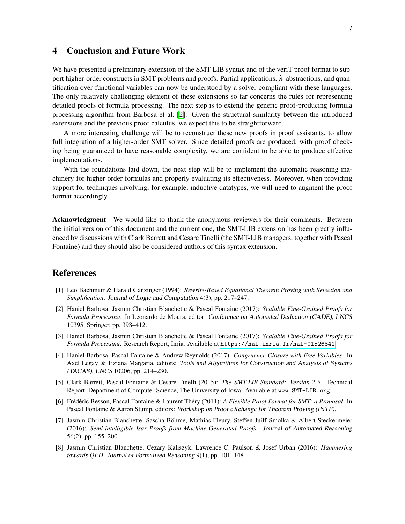### 4 Conclusion and Future Work

We have presented a preliminary extension of the SMT-LIB syntax and of the veriT proof format to support higher-order constructs in SMT problems and proofs. Partial applications,  $\lambda$ -abstractions, and quantification over functional variables can now be understood by a solver compliant with these languages. The only relatively challenging element of these extensions so far concerns the rules for representing detailed proofs of formula processing. The next step is to extend the generic proof-producing formula processing algorithm from Barbosa et al. [\[2\]](#page-6-3). Given the structural similarity between the introduced extensions and the previous proof calculus, we expect this to be straightforward.

A more interesting challenge will be to reconstruct these new proofs in proof assistants, to allow full integration of a higher-order SMT solver. Since detailed proofs are produced, with proof checking being guaranteed to have reasonable complexity, we are confident to be able to produce effective implementations.

With the foundations laid down, the next step will be to implement the automatic reasoning machinery for higher-order formulas and properly evaluating its effectiveness. Moreover, when providing support for techniques involving, for example, inductive datatypes, we will need to augment the proof format accordingly.

Acknowledgment We would like to thank the anonymous reviewers for their comments. Between the initial version of this document and the current one, the SMT-LIB extension has been greatly influenced by discussions with Clark Barrett and Cesare Tinelli (the SMT-LIB managers, together with Pascal Fontaine) and they should also be considered authors of this syntax extension.

#### References

- <span id="page-6-1"></span>[1] Leo Bachmair & Harald Ganzinger (1994): *Rewrite-Based Equational Theorem Proving with Selection and Simplification*. Journal of Logic and Computation 4(3), pp. 217–247.
- <span id="page-6-3"></span>[2] Haniel Barbosa, Jasmin Christian Blanchette & Pascal Fontaine (2017): *Scalable Fine-Grained Proofs for Formula Processing*. In Leonardo de Moura, editor: Conference on Automated Deduction (CADE), LNCS 10395, Springer, pp. 398–412.
- <span id="page-6-7"></span>[3] Haniel Barbosa, Jasmin Christian Blanchette & Pascal Fontaine (2017): *Scalable Fine-Grained Proofs for Formula Processing*. Research Report, Inria. Available at <https://hal.inria.fr/hal-01526841>.
- <span id="page-6-6"></span>[4] Haniel Barbosa, Pascal Fontaine & Andrew Reynolds (2017): *Congruence Closure with Free Variables*. In Axel Legay & Tiziana Margaria, editors: Tools and Algorithms for Construction and Analysis of Systems (TACAS), LNCS 10206, pp. 214–230.
- <span id="page-6-2"></span>[5] Clark Barrett, Pascal Fontaine & Cesare Tinelli (2015): *The SMT-LIB Standard: Version 2.5*. Technical Report, Department of Computer Science, The University of Iowa. Available at www.SMT-LIB.org.
- <span id="page-6-4"></span>[6] Frédéric Besson, Pascal Fontaine & Laurent Théry (2011): A Flexible Proof Format for SMT: a Proposal. In Pascal Fontaine & Aaron Stump, editors: Workshop on Proof eXchange for Theorem Proving (PxTP).
- <span id="page-6-5"></span>[7] Jasmin Christian Blanchette, Sascha Bohme, Mathias Fleury, Steffen Juilf Smolka & Albert Steckermeier ¨ (2016): *Semi-intelligible Isar Proofs from Machine-Generated Proofs*. Journal of Automated Reasoning 56(2), pp. 155–200.
- <span id="page-6-0"></span>[8] Jasmin Christian Blanchette, Cezary Kaliszyk, Lawrence C. Paulson & Josef Urban (2016): *Hammering towards QED*. Journal of Formalized Reasoning 9(1), pp. 101–148.